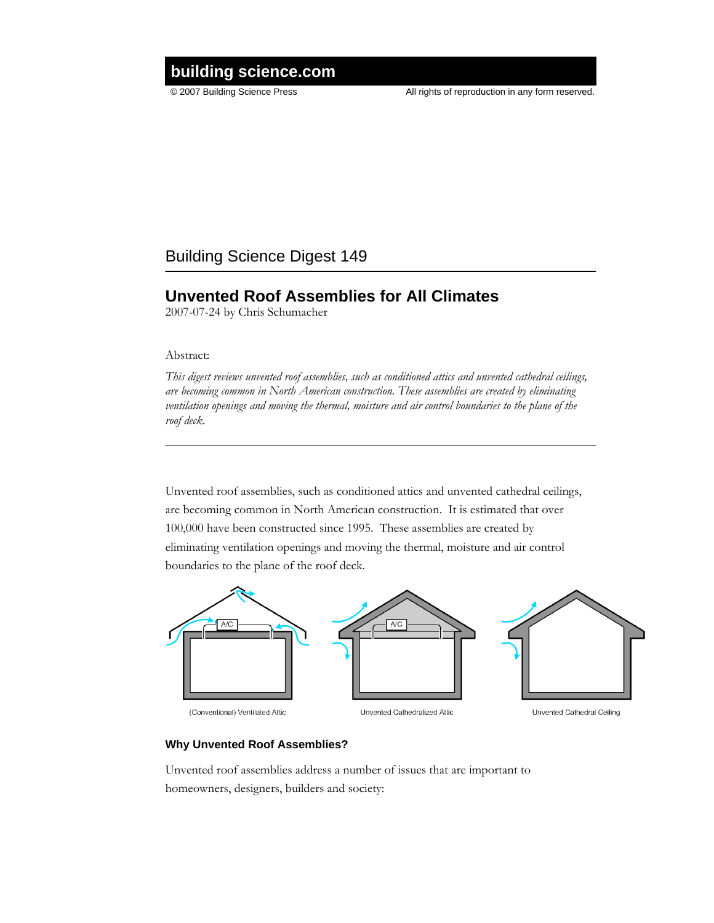# © 2007 Building Science Press All rights of reproduction in any form reserved. **building science.com**

### Building Science Digest 149

## **Unvented Roof Assemblies for All Climates**

2007-07-24 by Chris Schumacher

Abstract:

*This digest reviews unvented roof assemblies, such as conditioned attics and unvented cathedral ceilings, are becoming common in North American construction. These assemblies are created by eliminating ventilation openings and moving the thermal, moisture and air control boundaries to the plane of the roof deck.*

Unvented roof assemblies, such as conditioned attics and unvented cathedral ceilings, are becoming common in North American construction. It is estimated that over 100,000 have been constructed since 1995. These assemblies are created by eliminating ventilation openings and moving the thermal, moisture and air control boundaries to the plane of the roof deck.



### **Why Unvented Roof Assemblies?**

Unvented roof assemblies address a number of issues that are important to homeowners, designers, builders and society: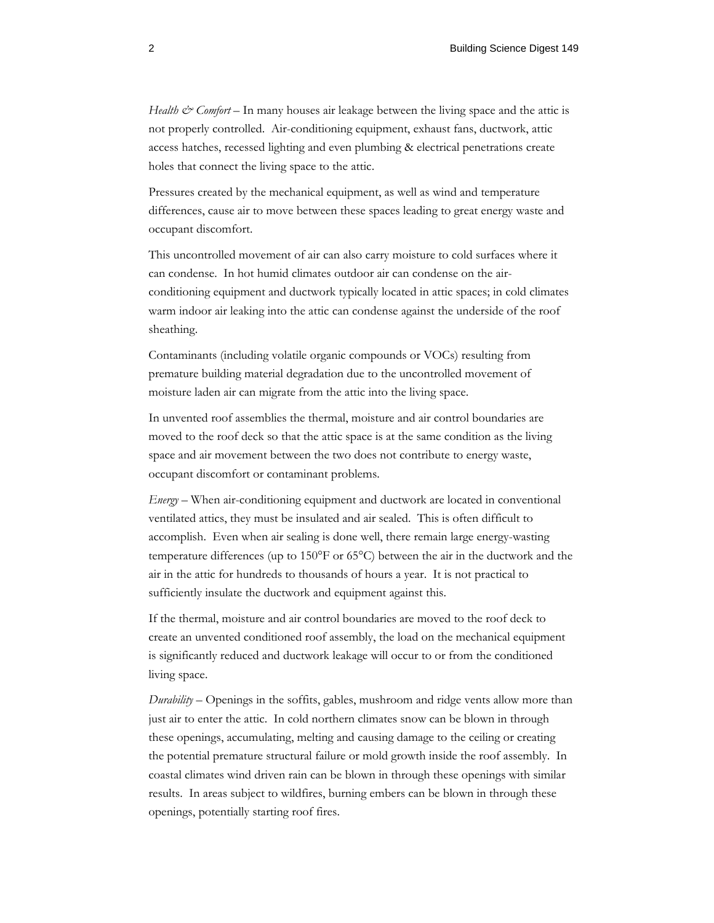*Health & Comfort* – In many houses air leakage between the living space and the attic is not properly controlled. Air-conditioning equipment, exhaust fans, ductwork, attic access hatches, recessed lighting and even plumbing & electrical penetrations create holes that connect the living space to the attic.

Pressures created by the mechanical equipment, as well as wind and temperature differences, cause air to move between these spaces leading to great energy waste and occupant discomfort.

This uncontrolled movement of air can also carry moisture to cold surfaces where it can condense. In hot humid climates outdoor air can condense on the airconditioning equipment and ductwork typically located in attic spaces; in cold climates warm indoor air leaking into the attic can condense against the underside of the roof sheathing.

Contaminants (including volatile organic compounds or VOCs) resulting from premature building material degradation due to the uncontrolled movement of moisture laden air can migrate from the attic into the living space.

In unvented roof assemblies the thermal, moisture and air control boundaries are moved to the roof deck so that the attic space is at the same condition as the living space and air movement between the two does not contribute to energy waste, occupant discomfort or contaminant problems.

*Energy* – When air-conditioning equipment and ductwork are located in conventional ventilated attics, they must be insulated and air sealed. This is often difficult to accomplish. Even when air sealing is done well, there remain large energy-wasting temperature differences (up to 150°F or 65°C) between the air in the ductwork and the air in the attic for hundreds to thousands of hours a year. It is not practical to sufficiently insulate the ductwork and equipment against this.

If the thermal, moisture and air control boundaries are moved to the roof deck to create an unvented conditioned roof assembly, the load on the mechanical equipment is significantly reduced and ductwork leakage will occur to or from the conditioned living space.

*Durability* – Openings in the soffits, gables, mushroom and ridge vents allow more than just air to enter the attic. In cold northern climates snow can be blown in through these openings, accumulating, melting and causing damage to the ceiling or creating the potential premature structural failure or mold growth inside the roof assembly. In coastal climates wind driven rain can be blown in through these openings with similar results. In areas subject to wildfires, burning embers can be blown in through these openings, potentially starting roof fires.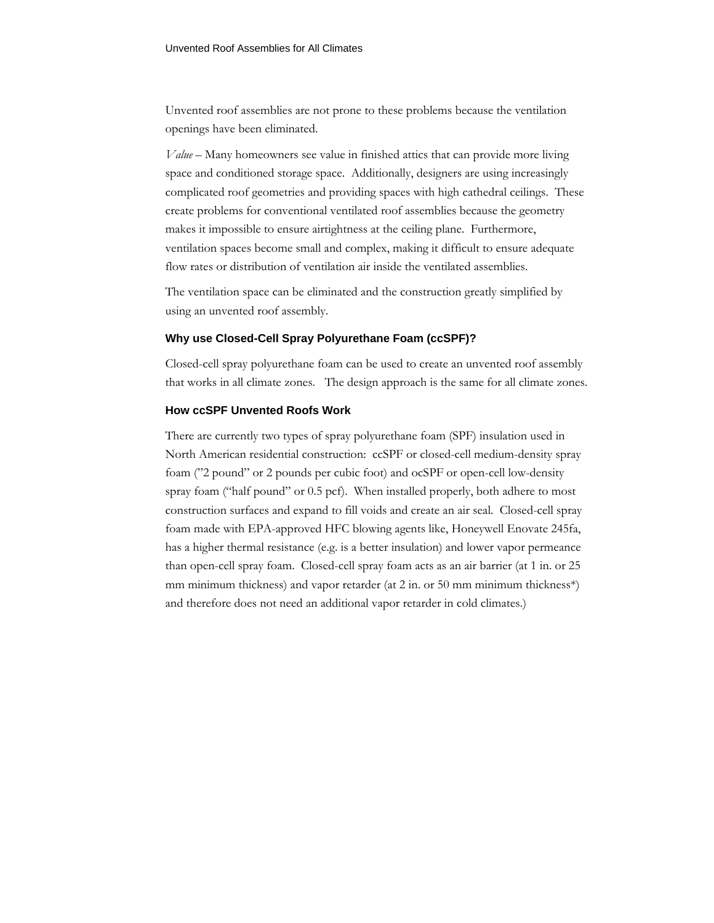Unvented roof assemblies are not prone to these problems because the ventilation openings have been eliminated.

*Value* – Many homeowners see value in finished attics that can provide more living space and conditioned storage space. Additionally, designers are using increasingly complicated roof geometries and providing spaces with high cathedral ceilings. These create problems for conventional ventilated roof assemblies because the geometry makes it impossible to ensure airtightness at the ceiling plane. Furthermore, ventilation spaces become small and complex, making it difficult to ensure adequate flow rates or distribution of ventilation air inside the ventilated assemblies.

The ventilation space can be eliminated and the construction greatly simplified by using an unvented roof assembly.

#### **Why use Closed-Cell Spray Polyurethane Foam (ccSPF)?**

Closed-cell spray polyurethane foam can be used to create an unvented roof assembly that works in all climate zones. The design approach is the same for all climate zones.

#### **How ccSPF Unvented Roofs Work**

There are currently two types of spray polyurethane foam (SPF) insulation used in North American residential construction: ccSPF or closed-cell medium-density spray foam ("2 pound" or 2 pounds per cubic foot) and ocSPF or open-cell low-density spray foam ("half pound" or 0.5 pcf). When installed properly, both adhere to most construction surfaces and expand to fill voids and create an air seal. Closed-cell spray foam made with EPA-approved HFC blowing agents like, Honeywell Enovate 245fa, has a higher thermal resistance (e.g. is a better insulation) and lower vapor permeance than open-cell spray foam. Closed-cell spray foam acts as an air barrier (at 1 in. or 25 mm minimum thickness) and vapor retarder (at 2 in. or 50 mm minimum thickness\*) and therefore does not need an additional vapor retarder in cold climates.)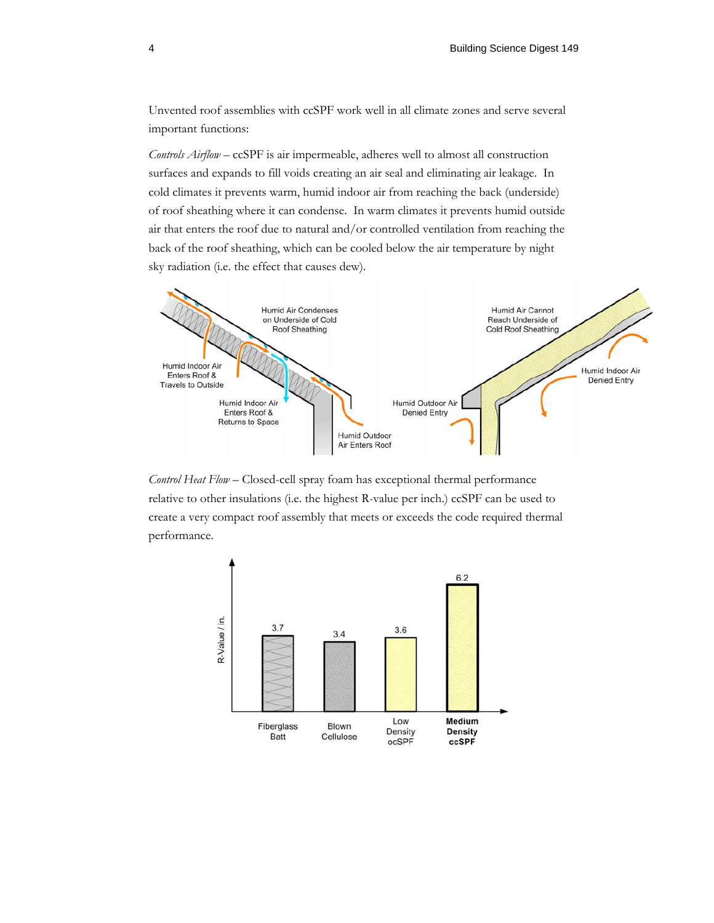Unvented roof assemblies with ccSPF work well in all climate zones and serve several important functions:

*Controls Airflow* – ccSPF is air impermeable, adheres well to almost all construction surfaces and expands to fill voids creating an air seal and eliminating air leakage. In cold climates it prevents warm, humid indoor air from reaching the back (underside) of roof sheathing where it can condense. In warm climates it prevents humid outside air that enters the roof due to natural and/or controlled ventilation from reaching the back of the roof sheathing, which can be cooled below the air temperature by night sky radiation (i.e. the effect that causes dew).



*Control Heat Flow* – Closed-cell spray foam has exceptional thermal performance relative to other insulations (i.e. the highest R-value per inch.) ccSPF can be used to create a very compact roof assembly that meets or exceeds the code required thermal performance.

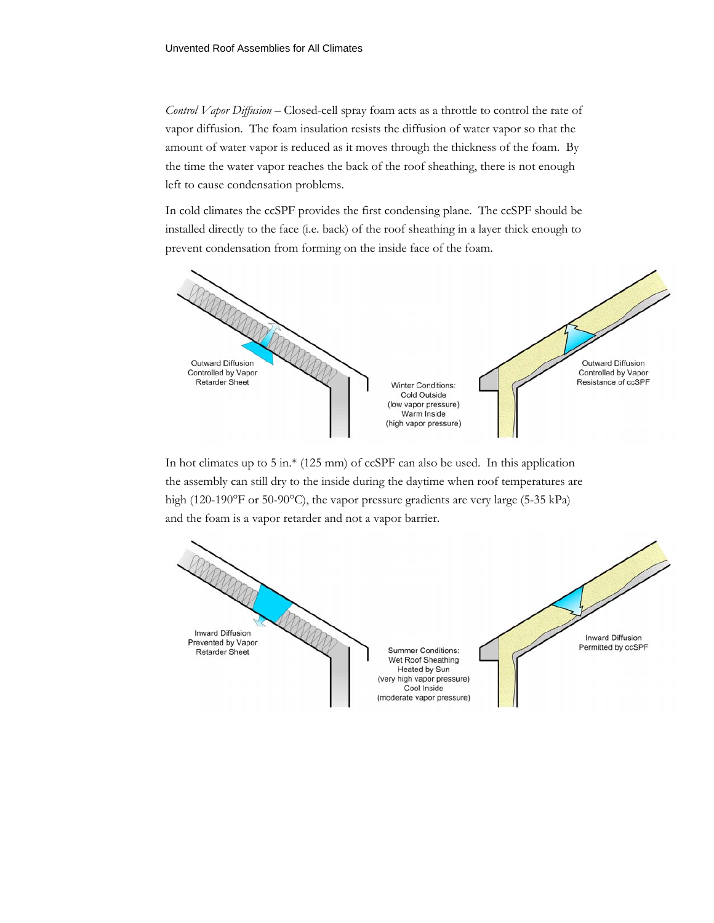*Control Vapor Diffusion* – Closed-cell spray foam acts as a throttle to control the rate of vapor diffusion. The foam insulation resists the diffusion of water vapor so that the amount of water vapor is reduced as it moves through the thickness of the foam. By the time the water vapor reaches the back of the roof sheathing, there is not enough left to cause condensation problems.

In cold climates the ccSPF provides the first condensing plane. The ccSPF should be installed directly to the face (i.e. back) of the roof sheathing in a layer thick enough to prevent condensation from forming on the inside face of the foam.



In hot climates up to 5 in.\* (125 mm) of ccSPF can also be used. In this application the assembly can still dry to the inside during the daytime when roof temperatures are high (120-190°F or 50-90°C), the vapor pressure gradients are very large (5-35 kPa) and the foam is a vapor retarder and not a vapor barrier.

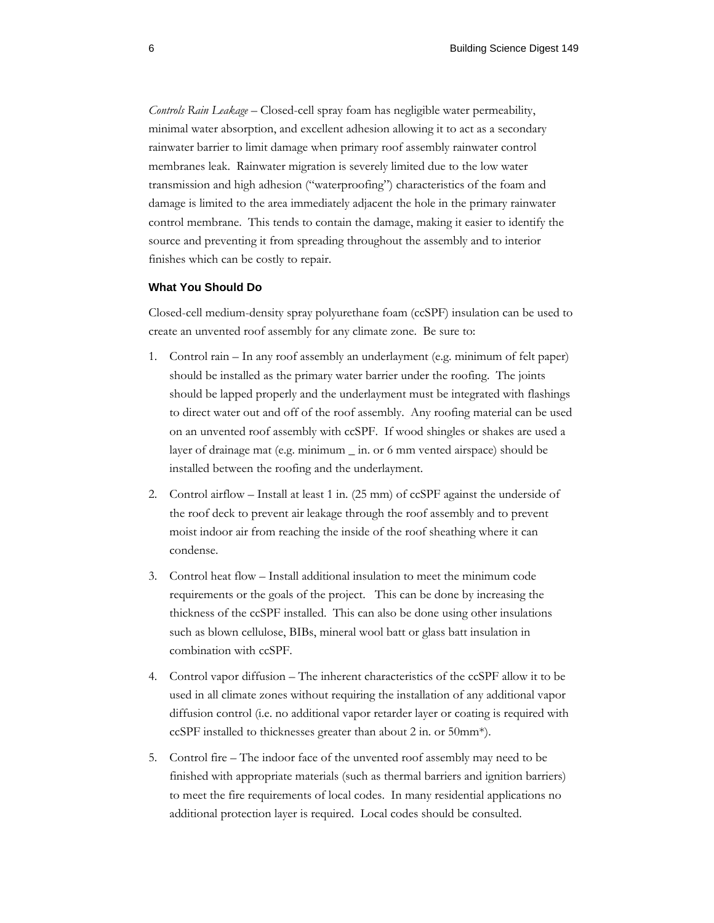*Controls Rain Leakage* – Closed-cell spray foam has negligible water permeability, minimal water absorption, and excellent adhesion allowing it to act as a secondary rainwater barrier to limit damage when primary roof assembly rainwater control membranes leak. Rainwater migration is severely limited due to the low water transmission and high adhesion ("waterproofing") characteristics of the foam and damage is limited to the area immediately adjacent the hole in the primary rainwater control membrane. This tends to contain the damage, making it easier to identify the source and preventing it from spreading throughout the assembly and to interior finishes which can be costly to repair.

### **What You Should Do**

Closed-cell medium-density spray polyurethane foam (ccSPF) insulation can be used to create an unvented roof assembly for any climate zone. Be sure to:

- 1. Control rain In any roof assembly an underlayment (e.g. minimum of felt paper) should be installed as the primary water barrier under the roofing. The joints should be lapped properly and the underlayment must be integrated with flashings to direct water out and off of the roof assembly. Any roofing material can be used on an unvented roof assembly with ccSPF. If wood shingles or shakes are used a layer of drainage mat (e.g. minimum \_ in. or 6 mm vented airspace) should be installed between the roofing and the underlayment.
- 2. Control airflow Install at least 1 in. (25 mm) of ccSPF against the underside of the roof deck to prevent air leakage through the roof assembly and to prevent moist indoor air from reaching the inside of the roof sheathing where it can condense.
- 3. Control heat flow Install additional insulation to meet the minimum code requirements or the goals of the project. This can be done by increasing the thickness of the ccSPF installed. This can also be done using other insulations such as blown cellulose, BIBs, mineral wool batt or glass batt insulation in combination with ccSPF.
- 4. Control vapor diffusion The inherent characteristics of the ccSPF allow it to be used in all climate zones without requiring the installation of any additional vapor diffusion control (i.e. no additional vapor retarder layer or coating is required with ccSPF installed to thicknesses greater than about 2 in. or 50mm\*).
- 5. Control fire The indoor face of the unvented roof assembly may need to be finished with appropriate materials (such as thermal barriers and ignition barriers) to meet the fire requirements of local codes. In many residential applications no additional protection layer is required. Local codes should be consulted.